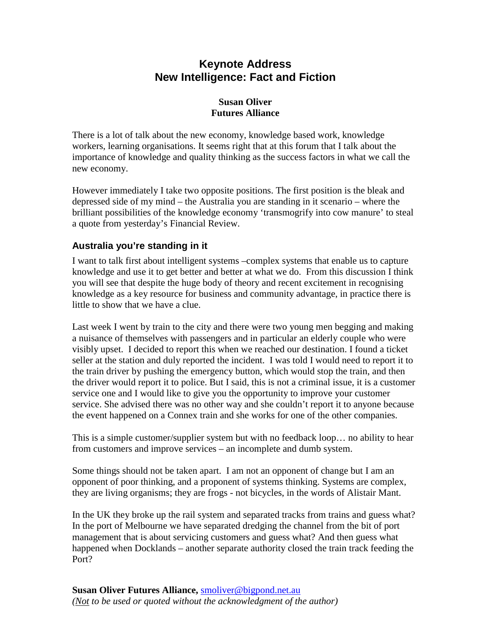# **Keynote Address New Intelligence: Fact and Fiction**

### **Susan Oliver Futures Alliance**

There is a lot of talk about the new economy, knowledge based work, knowledge workers, learning organisations. It seems right that at this forum that I talk about the importance of knowledge and quality thinking as the success factors in what we call the new economy.

However immediately I take two opposite positions. The first position is the bleak and depressed side of my mind – the Australia you are standing in it scenario – where the brilliant possibilities of the knowledge economy 'transmogrify into cow manure' to steal a quote from yesterday's Financial Review.

## **Australia you're standing in it**

I want to talk first about intelligent systems –complex systems that enable us to capture knowledge and use it to get better and better at what we do. From this discussion I think you will see that despite the huge body of theory and recent excitement in recognising knowledge as a key resource for business and community advantage, in practice there is little to show that we have a clue.

Last week I went by train to the city and there were two young men begging and making a nuisance of themselves with passengers and in particular an elderly couple who were visibly upset. I decided to report this when we reached our destination. I found a ticket seller at the station and duly reported the incident. I was told I would need to report it to the train driver by pushing the emergency button, which would stop the train, and then the driver would report it to police. But I said, this is not a criminal issue, it is a customer service one and I would like to give you the opportunity to improve your customer service. She advised there was no other way and she couldn't report it to anyone because the event happened on a Connex train and she works for one of the other companies.

This is a simple customer/supplier system but with no feedback loop… no ability to hear from customers and improve services – an incomplete and dumb system.

Some things should not be taken apart. I am not an opponent of change but I am an opponent of poor thinking, and a proponent of systems thinking. Systems are complex, they are living organisms; they are frogs - not bicycles, in the words of Alistair Mant.

In the UK they broke up the rail system and separated tracks from trains and guess what? In the port of Melbourne we have separated dredging the channel from the bit of port management that is about servicing customers and guess what? And then guess what happened when Docklands – another separate authority closed the train track feeding the Port?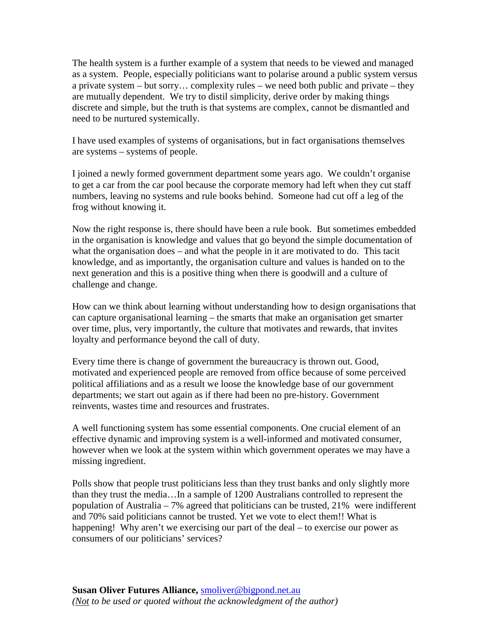The health system is a further example of a system that needs to be viewed and managed as a system. People, especially politicians want to polarise around a public system versus a private system – but sorry… complexity rules – we need both public and private – they are mutually dependent. We try to distil simplicity, derive order by making things discrete and simple, but the truth is that systems are complex, cannot be dismantled and need to be nurtured systemically.

I have used examples of systems of organisations, but in fact organisations themselves are systems – systems of people.

I joined a newly formed government department some years ago. We couldn't organise to get a car from the car pool because the corporate memory had left when they cut staff numbers, leaving no systems and rule books behind. Someone had cut off a leg of the frog without knowing it.

Now the right response is, there should have been a rule book. But sometimes embedded in the organisation is knowledge and values that go beyond the simple documentation of what the organisation does – and what the people in it are motivated to do. This tacit knowledge, and as importantly, the organisation culture and values is handed on to the next generation and this is a positive thing when there is goodwill and a culture of challenge and change.

How can we think about learning without understanding how to design organisations that can capture organisational learning – the smarts that make an organisation get smarter over time, plus, very importantly, the culture that motivates and rewards, that invites loyalty and performance beyond the call of duty.

Every time there is change of government the bureaucracy is thrown out. Good, motivated and experienced people are removed from office because of some perceived political affiliations and as a result we loose the knowledge base of our government departments; we start out again as if there had been no pre-history. Government reinvents, wastes time and resources and frustrates.

A well functioning system has some essential components. One crucial element of an effective dynamic and improving system is a well-informed and motivated consumer, however when we look at the system within which government operates we may have a missing ingredient.

Polls show that people trust politicians less than they trust banks and only slightly more than they trust the media…In a sample of 1200 Australians controlled to represent the population of Australia – 7% agreed that politicians can be trusted, 21% were indifferent and 70% said politicians cannot be trusted. Yet we vote to elect them!! What is happening! Why aren't we exercising our part of the deal – to exercise our power as consumers of our politicians' services?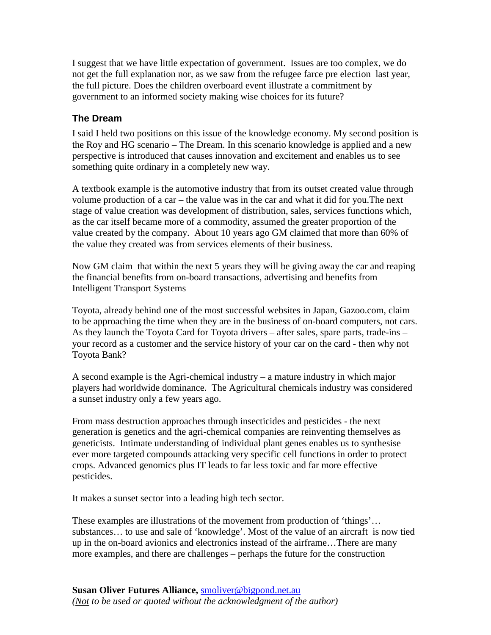I suggest that we have little expectation of government. Issues are too complex, we do not get the full explanation nor, as we saw from the refugee farce pre election last year, the full picture. Does the children overboard event illustrate a commitment by government to an informed society making wise choices for its future?

## **The Dream**

I said I held two positions on this issue of the knowledge economy. My second position is the Roy and HG scenario – The Dream. In this scenario knowledge is applied and a new perspective is introduced that causes innovation and excitement and enables us to see something quite ordinary in a completely new way.

A textbook example is the automotive industry that from its outset created value through volume production of a car – the value was in the car and what it did for you.The next stage of value creation was development of distribution, sales, services functions which, as the car itself became more of a commodity, assumed the greater proportion of the value created by the company. About 10 years ago GM claimed that more than 60% of the value they created was from services elements of their business.

Now GM claim that within the next 5 years they will be giving away the car and reaping the financial benefits from on-board transactions, advertising and benefits from Intelligent Transport Systems

Toyota, already behind one of the most successful websites in Japan, Gazoo.com, claim to be approaching the time when they are in the business of on-board computers, not cars. As they launch the Toyota Card for Toyota drivers – after sales, spare parts, trade-ins – your record as a customer and the service history of your car on the card - then why not Toyota Bank?

A second example is the Agri-chemical industry – a mature industry in which major players had worldwide dominance. The Agricultural chemicals industry was considered a sunset industry only a few years ago.

From mass destruction approaches through insecticides and pesticides - the next generation is genetics and the agri-chemical companies are reinventing themselves as geneticists. Intimate understanding of individual plant genes enables us to synthesise ever more targeted compounds attacking very specific cell functions in order to protect crops. Advanced genomics plus IT leads to far less toxic and far more effective pesticides.

It makes a sunset sector into a leading high tech sector.

These examples are illustrations of the movement from production of 'things'… substances… to use and sale of 'knowledge'. Most of the value of an aircraft is now tied up in the on-board avionics and electronics instead of the airframe…There are many more examples, and there are challenges – perhaps the future for the construction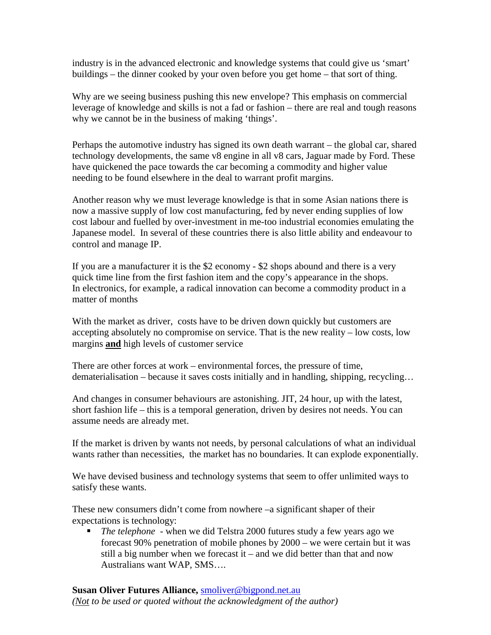industry is in the advanced electronic and knowledge systems that could give us 'smart' buildings – the dinner cooked by your oven before you get home – that sort of thing.

Why are we seeing business pushing this new envelope? This emphasis on commercial leverage of knowledge and skills is not a fad or fashion – there are real and tough reasons why we cannot be in the business of making 'things'.

Perhaps the automotive industry has signed its own death warrant – the global car, shared technology developments, the same v8 engine in all v8 cars, Jaguar made by Ford. These have quickened the pace towards the car becoming a commodity and higher value needing to be found elsewhere in the deal to warrant profit margins.

Another reason why we must leverage knowledge is that in some Asian nations there is now a massive supply of low cost manufacturing, fed by never ending supplies of low cost labour and fuelled by over-investment in me-too industrial economies emulating the Japanese model. In several of these countries there is also little ability and endeavour to control and manage IP.

If you are a manufacturer it is the \$2 economy - \$2 shops abound and there is a very quick time line from the first fashion item and the copy's appearance in the shops. In electronics, for example, a radical innovation can become a commodity product in a matter of months

With the market as driver, costs have to be driven down quickly but customers are accepting absolutely no compromise on service. That is the new reality – low costs, low margins **and** high levels of customer service

There are other forces at work – environmental forces, the pressure of time, dematerialisation – because it saves costs initially and in handling, shipping, recycling…

And changes in consumer behaviours are astonishing. JIT, 24 hour, up with the latest, short fashion life – this is a temporal generation, driven by desires not needs. You can assume needs are already met.

If the market is driven by wants not needs, by personal calculations of what an individual wants rather than necessities, the market has no boundaries. It can explode exponentially.

We have devised business and technology systems that seem to offer unlimited ways to satisfy these wants.

These new consumers didn't come from nowhere –a significant shaper of their expectations is technology:

 *The telephone* - when we did Telstra 2000 futures study a few years ago we forecast 90% penetration of mobile phones by 2000 – we were certain but it was still a big number when we forecast it – and we did better than that and now Australians want WAP, SMS….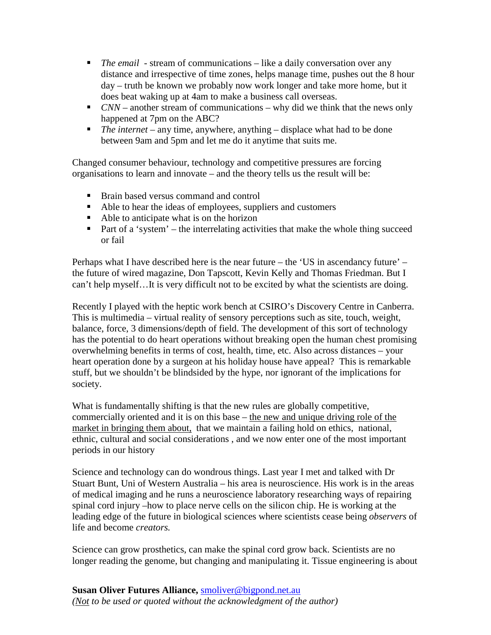- *The email* stream of communications like a daily conversation over any distance and irrespective of time zones, helps manage time, pushes out the 8 hour day – truth be known we probably now work longer and take more home, but it does beat waking up at 4am to make a business call overseas.
- *CNN* another stream of communications why did we think that the news only happened at 7pm on the ABC?
- *The internet* any time, anywhere, anything displace what had to be done between 9am and 5pm and let me do it anytime that suits me.

Changed consumer behaviour, technology and competitive pressures are forcing organisations to learn and innovate – and the theory tells us the result will be:

- Brain based versus command and control
- Able to hear the ideas of employees, suppliers and customers
- Able to anticipate what is on the horizon
- Part of a 'system' the interrelating activities that make the whole thing succeed or fail

Perhaps what I have described here is the near future – the 'US in ascendancy future' – the future of wired magazine, Don Tapscott, Kevin Kelly and Thomas Friedman. But I can't help myself…It is very difficult not to be excited by what the scientists are doing.

Recently I played with the heptic work bench at CSIRO's Discovery Centre in Canberra. This is multimedia – virtual reality of sensory perceptions such as site, touch, weight, balance, force, 3 dimensions/depth of field. The development of this sort of technology has the potential to do heart operations without breaking open the human chest promising overwhelming benefits in terms of cost, health, time, etc. Also across distances – your heart operation done by a surgeon at his holiday house have appeal? This is remarkable stuff, but we shouldn't be blindsided by the hype, nor ignorant of the implications for society.

What is fundamentally shifting is that the new rules are globally competitive, commercially oriented and it is on this base – the new and unique driving role of the market in bringing them about, that we maintain a failing hold on ethics, national, ethnic, cultural and social considerations , and we now enter one of the most important periods in our history

Science and technology can do wondrous things. Last year I met and talked with Dr Stuart Bunt, Uni of Western Australia – his area is neuroscience. His work is in the areas of medical imaging and he runs a neuroscience laboratory researching ways of repairing spinal cord injury –how to place nerve cells on the silicon chip. He is working at the leading edge of the future in biological sciences where scientists cease being *observers* of life and become *creators.*

Science can grow prosthetics, can make the spinal cord grow back. Scientists are no longer reading the genome, but changing and manipulating it. Tissue engineering is about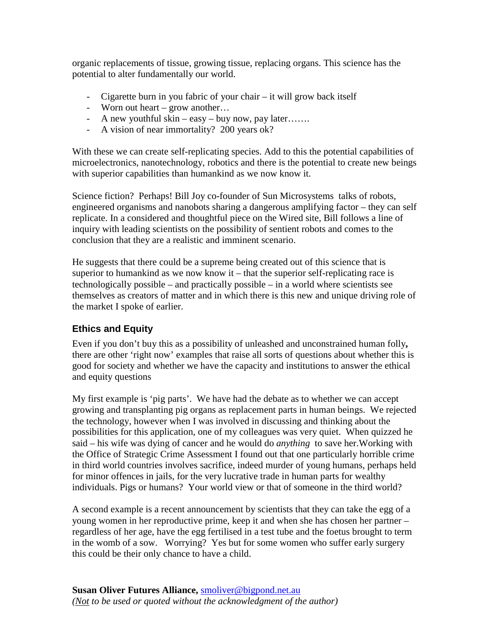organic replacements of tissue, growing tissue, replacing organs. This science has the potential to alter fundamentally our world.

- Cigarette burn in you fabric of your chair it will grow back itself
- Worn out heart grow another…
- A new youthful skin easy buy now, pay later…….
- A vision of near immortality? 200 years ok?

With these we can create self-replicating species. Add to this the potential capabilities of microelectronics, nanotechnology, robotics and there is the potential to create new beings with superior capabilities than humankind as we now know it.

Science fiction? Perhaps! Bill Joy co-founder of Sun Microsystems talks of robots, engineered organisms and nanobots sharing a dangerous amplifying factor – they can self replicate. In a considered and thoughtful piece on the Wired site, Bill follows a line of inquiry with leading scientists on the possibility of sentient robots and comes to the conclusion that they are a realistic and imminent scenario.

He suggests that there could be a supreme being created out of this science that is superior to humankind as we now know it – that the superior self-replicating race is technologically possible – and practically possible – in a world where scientists see themselves as creators of matter and in which there is this new and unique driving role of the market I spoke of earlier.

### **Ethics and Equity**

Even if you don't buy this as a possibility of unleashed and unconstrained human folly**,**  there are other 'right now' examples that raise all sorts of questions about whether this is good for society and whether we have the capacity and institutions to answer the ethical and equity questions

My first example is 'pig parts'. We have had the debate as to whether we can accept growing and transplanting pig organs as replacement parts in human beings. We rejected the technology, however when I was involved in discussing and thinking about the possibilities for this application, one of my colleagues was very quiet. When quizzed he said – his wife was dying of cancer and he would do *anything* to save her.Working with the Office of Strategic Crime Assessment I found out that one particularly horrible crime in third world countries involves sacrifice, indeed murder of young humans, perhaps held for minor offences in jails, for the very lucrative trade in human parts for wealthy individuals. Pigs or humans? Your world view or that of someone in the third world?

A second example is a recent announcement by scientists that they can take the egg of a young women in her reproductive prime, keep it and when she has chosen her partner – regardless of her age, have the egg fertilised in a test tube and the foetus brought to term in the womb of a sow. Worrying? Yes but for some women who suffer early surgery this could be their only chance to have a child.